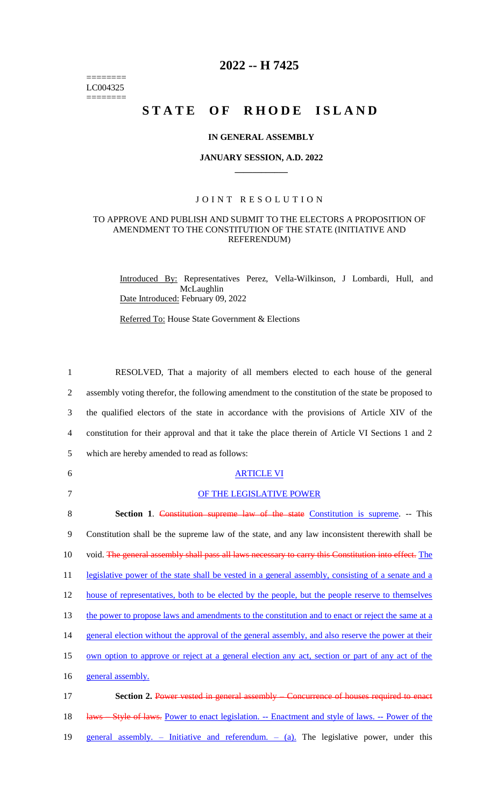======== LC004325  $=$ 

## **2022 -- H 7425**

# **STATE OF RHODE ISLAND**

#### **IN GENERAL ASSEMBLY**

#### **JANUARY SESSION, A.D. 2022 \_\_\_\_\_\_\_\_\_\_\_\_**

#### JOINT RESOLUTION

#### TO APPROVE AND PUBLISH AND SUBMIT TO THE ELECTORS A PROPOSITION OF AMENDMENT TO THE CONSTITUTION OF THE STATE (INITIATIVE AND REFERENDUM)

Introduced By: Representatives Perez, Vella-Wilkinson, J Lombardi, Hull, and McLaughlin Date Introduced: February 09, 2022

Referred To: House State Government & Elections

| $\mathbf{1}$   | RESOLVED, That a majority of all members elected to each house of the general                        |
|----------------|------------------------------------------------------------------------------------------------------|
| $\overline{2}$ | assembly voting therefor, the following amendment to the constitution of the state be proposed to    |
| 3              | the qualified electors of the state in accordance with the provisions of Article XIV of the          |
| $\overline{4}$ | constitution for their approval and that it take the place therein of Article VI Sections 1 and 2    |
| 5              | which are hereby amended to read as follows:                                                         |
| 6              | <b>ARTICLE VI</b>                                                                                    |
| 7              | OF THE LEGISLATIVE POWER                                                                             |
| $8\,$          | Section 1. Constitution supreme law of the state Constitution is supreme. -- This                    |
| 9              | Constitution shall be the supreme law of the state, and any law inconsistent therewith shall be      |
| 10             | void. The general assembly shall pass all laws necessary to carry this Constitution into effect. The |
| 11             | legislative power of the state shall be vested in a general assembly, consisting of a senate and a   |
| 12             | house of representatives, both to be elected by the people, but the people reserve to themselves     |
| 13             | the power to propose laws and amendments to the constitution and to enact or reject the same at a    |
| 14             | general election without the approval of the general assembly, and also reserve the power at their   |
| 15             | own option to approve or reject at a general election any act, section or part of any act of the     |
| 16             | general assembly.                                                                                    |
| 17             | Section 2. Power vested in general assembly Concurrence of houses required to enact                  |
| 18             | laws Style of laws. Power to enact legislation. -- Enactment and style of laws. -- Power of the      |
| 19             | general assembly. - Initiative and referendum. $-$ (a). The legislative power, under this            |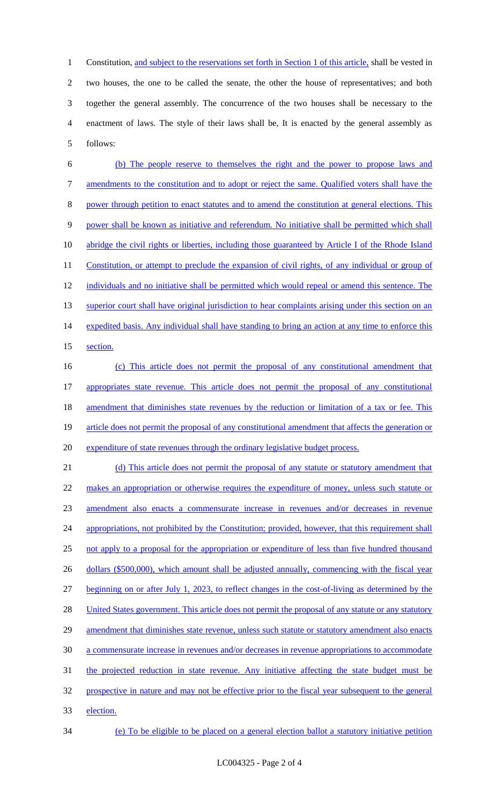Constitution, and subject to the reservations set forth in Section 1 of this article, shall be vested in two houses, the one to be called the senate, the other the house of representatives; and both together the general assembly. The concurrence of the two houses shall be necessary to the enactment of laws. The style of their laws shall be, It is enacted by the general assembly as 5 follows:

6 (b) The people reserve to themselves the right and the power to propose laws and 7 amendments to the constitution and to adopt or reject the same. Qualified voters shall have the 8 power through petition to enact statutes and to amend the constitution at general elections. This 9 power shall be known as initiative and referendum. No initiative shall be permitted which shall 10 abridge the civil rights or liberties, including those guaranteed by Article I of the Rhode Island 11 Constitution, or attempt to preclude the expansion of civil rights, of any individual or group of 12 individuals and no initiative shall be permitted which would repeal or amend this sentence. The 13 superior court shall have original jurisdiction to hear complaints arising under this section on an 14 expedited basis. Any individual shall have standing to bring an action at any time to enforce this 15 section.

16 (c) This article does not permit the proposal of any constitutional amendment that 17 appropriates state revenue. This article does not permit the proposal of any constitutional 18 amendment that diminishes state revenues by the reduction or limitation of a tax or fee. This 19 article does not permit the proposal of any constitutional amendment that affects the generation or 20 expenditure of state revenues through the ordinary legislative budget process.

21 (d) This article does not permit the proposal of any statute or statutory amendment that 22 makes an appropriation or otherwise requires the expenditure of money, unless such statute or 23 amendment also enacts a commensurate increase in revenues and/or decreases in revenue 24 appropriations, not prohibited by the Constitution; provided, however, that this requirement shall 25 not apply to a proposal for the appropriation or expenditure of less than five hundred thousand 26 dollars (\$500,000), which amount shall be adjusted annually, commencing with the fiscal year 27 beginning on or after July 1, 2023, to reflect changes in the cost-of-living as determined by the 28 United States government. This article does not permit the proposal of any statute or any statutory 29 amendment that diminishes state revenue, unless such statute or statutory amendment also enacts 30 a commensurate increase in revenues and/or decreases in revenue appropriations to accommodate 31 the projected reduction in state revenue. Any initiative affecting the state budget must be 32 prospective in nature and may not be effective prior to the fiscal year subsequent to the general 33 election.

34 (e) To be eligible to be placed on a general election ballot a statutory initiative petition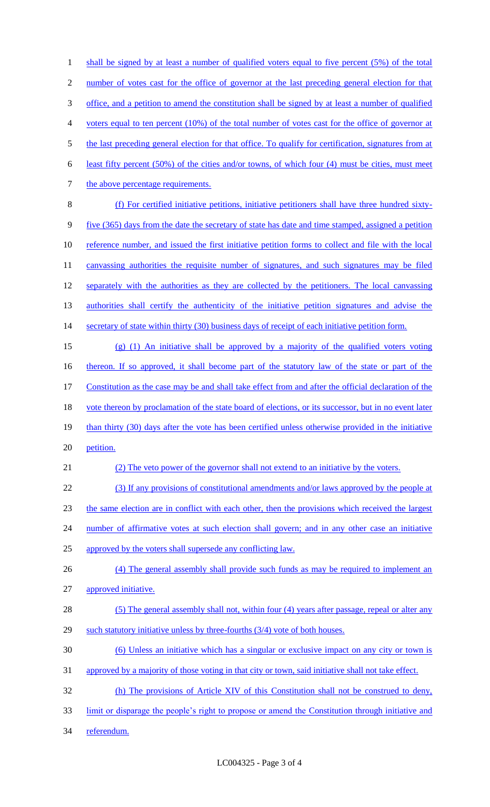1 shall be signed by at least a number of qualified voters equal to five percent (5%) of the total 2 number of votes cast for the office of governor at the last preceding general election for that 3 office, and a petition to amend the constitution shall be signed by at least a number of qualified 4 voters equal to ten percent (10%) of the total number of votes cast for the office of governor at 5 the last preceding general election for that office. To qualify for certification, signatures from at 6 least fifty percent  $(50\%)$  of the cities and/or towns, of which four (4) must be cities, must meet 7 the above percentage requirements. 8 (f) For certified initiative petitions, initiative petitioners shall have three hundred sixty-9 five (365) days from the date the secretary of state has date and time stamped, assigned a petition 10 reference number, and issued the first initiative petition forms to collect and file with the local 11 canvassing authorities the requisite number of signatures, and such signatures may be filed 12 separately with the authorities as they are collected by the petitioners. The local canvassing 13 authorities shall certify the authenticity of the initiative petition signatures and advise the 14 secretary of state within thirty (30) business days of receipt of each initiative petition form. 15 (g) (1) An initiative shall be approved by a majority of the qualified voters voting 16 thereon. If so approved, it shall become part of the statutory law of the state or part of the 17 Constitution as the case may be and shall take effect from and after the official declaration of the 18 vote thereon by proclamation of the state board of elections, or its successor, but in no event later 19 than thirty (30) days after the vote has been certified unless otherwise provided in the initiative 20 **petition**. 21 (2) The veto power of the governor shall not extend to an initiative by the voters. 22 (3) If any provisions of constitutional amendments and/or laws approved by the people at 23 the same election are in conflict with each other, then the provisions which received the largest 24 number of affirmative votes at such election shall govern; and in any other case an initiative 25 approved by the voters shall supersede any conflicting law. 26 (4) The general assembly shall provide such funds as may be required to implement an 27 approved initiative. 28 (5) The general assembly shall not, within four (4) years after passage, repeal or alter any 29 such statutory initiative unless by three-fourths (3/4) vote of both houses. 30 (6) Unless an initiative which has a singular or exclusive impact on any city or town is 31 approved by a majority of those voting in that city or town, said initiative shall not take effect. 32 (h) The provisions of Article XIV of this Constitution shall not be construed to deny, 33 limit or disparage the people's right to propose or amend the Constitution through initiative and 34 referendum.